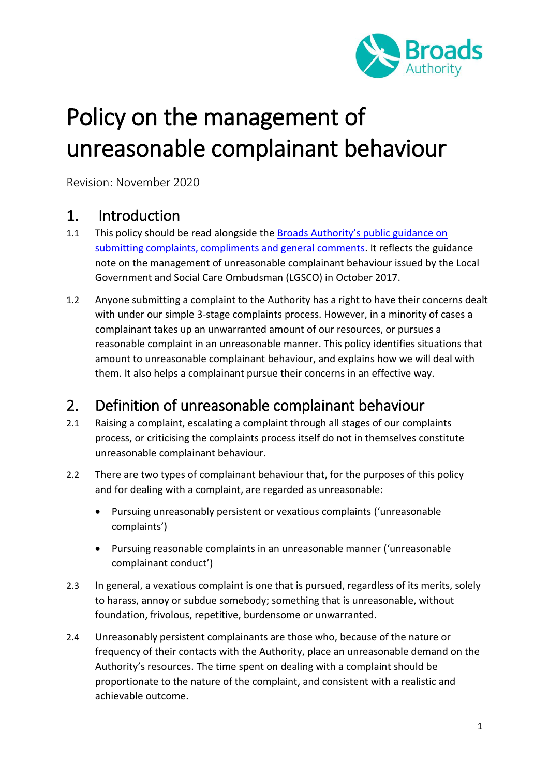

# Policy on the management of unreasonable complainant behaviour

Revision: November 2020

### 1. Introduction

- 1.1 This policy should be read alongside the Broads Authority's public guidance on [submitting complaints, compliments and general comments.](https://www.broads-authority.gov.uk/contact-us/comments-and-complaints/how-to-complain) It reflects the guidance note on the management of unreasonable complainant behaviour issued by the Local Government and Social Care Ombudsman (LGSCO) in October 2017.
- 1.2 Anyone submitting a complaint to the Authority has a right to have their concerns dealt with under our simple 3-stage complaints process. However, in a minority of cases a complainant takes up an unwarranted amount of our resources, or pursues a reasonable complaint in an unreasonable manner. This policy identifies situations that amount to unreasonable complainant behaviour, and explains how we will deal with them. It also helps a complainant pursue their concerns in an effective way.

# 2. Definition of unreasonable complainant behaviour

- 2.1 Raising a complaint, escalating a complaint through all stages of our complaints process, or criticising the complaints process itself do not in themselves constitute unreasonable complainant behaviour.
- 2.2 There are two types of complainant behaviour that, for the purposes of this policy and for dealing with a complaint, are regarded as unreasonable:
	- Pursuing unreasonably persistent or vexatious complaints ('unreasonable complaints')
	- Pursuing reasonable complaints in an unreasonable manner ('unreasonable complainant conduct')
- 2.3 In general, a vexatious complaint is one that is pursued, regardless of its merits, solely to harass, annoy or subdue somebody; something that is unreasonable, without foundation, frivolous, repetitive, burdensome or unwarranted.
- 2.4 Unreasonably persistent complainants are those who, because of the nature or frequency of their contacts with the Authority, place an unreasonable demand on the Authority's resources. The time spent on dealing with a complaint should be proportionate to the nature of the complaint, and consistent with a realistic and achievable outcome.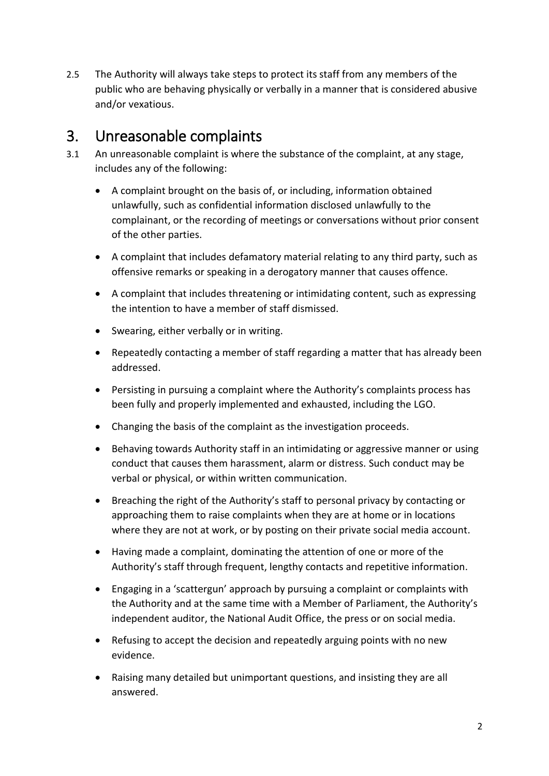2.5 The Authority will always take steps to protect its staff from any members of the public who are behaving physically or verbally in a manner that is considered abusive and/or vexatious.

### 3. Unreasonable complaints

- 3.1 An unreasonable complaint is where the substance of the complaint, at any stage, includes any of the following:
	- A complaint brought on the basis of, or including, information obtained unlawfully, such as confidential information disclosed unlawfully to the complainant, or the recording of meetings or conversations without prior consent of the other parties.
	- A complaint that includes defamatory material relating to any third party, such as offensive remarks or speaking in a derogatory manner that causes offence.
	- A complaint that includes threatening or intimidating content, such as expressing the intention to have a member of staff dismissed.
	- Swearing, either verbally or in writing.
	- Repeatedly contacting a member of staff regarding a matter that has already been addressed.
	- Persisting in pursuing a complaint where the Authority's complaints process has been fully and properly implemented and exhausted, including the LGO.
	- Changing the basis of the complaint as the investigation proceeds.
	- Behaving towards Authority staff in an intimidating or aggressive manner or using conduct that causes them harassment, alarm or distress. Such conduct may be verbal or physical, or within written communication.
	- Breaching the right of the Authority's staff to personal privacy by contacting or approaching them to raise complaints when they are at home or in locations where they are not at work, or by posting on their private social media account.
	- Having made a complaint, dominating the attention of one or more of the Authority's staff through frequent, lengthy contacts and repetitive information.
	- Engaging in a 'scattergun' approach by pursuing a complaint or complaints with the Authority and at the same time with a Member of Parliament, the Authority's independent auditor, the National Audit Office, the press or on social media.
	- Refusing to accept the decision and repeatedly arguing points with no new evidence.
	- Raising many detailed but unimportant questions, and insisting they are all answered.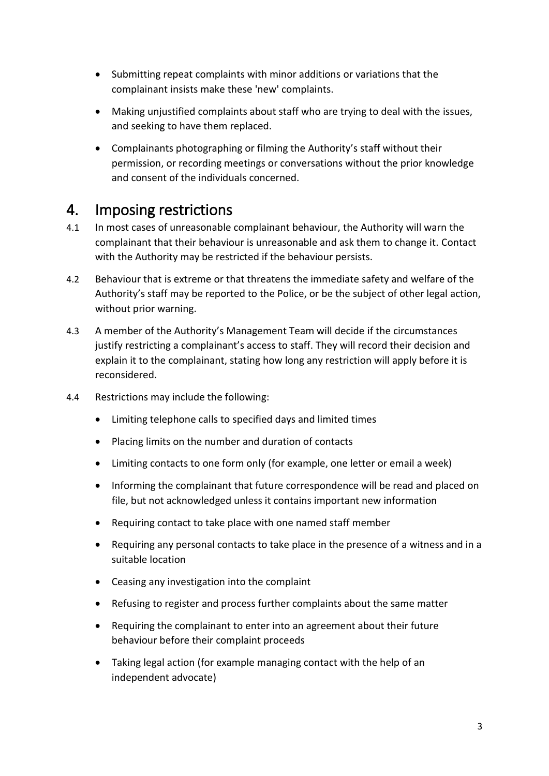- Submitting repeat complaints with minor additions or variations that the complainant insists make these 'new' complaints.
- Making unjustified complaints about staff who are trying to deal with the issues, and seeking to have them replaced.
- Complainants photographing or filming the Authority's staff without their permission, or recording meetings or conversations without the prior knowledge and consent of the individuals concerned.

# 4. Imposing restrictions

- 4.1 In most cases of unreasonable complainant behaviour, the Authority will warn the complainant that their behaviour is unreasonable and ask them to change it. Contact with the Authority may be restricted if the behaviour persists.
- 4.2 Behaviour that is extreme or that threatens the immediate safety and welfare of the Authority's staff may be reported to the Police, or be the subject of other legal action, without prior warning.
- 4.3 A member of the Authority's Management Team will decide if the circumstances justify restricting a complainant's access to staff. They will record their decision and explain it to the complainant, stating how long any restriction will apply before it is reconsidered.
- 4.4 Restrictions may include the following:
	- Limiting telephone calls to specified days and limited times
	- Placing limits on the number and duration of contacts
	- Limiting contacts to one form only (for example, one letter or email a week)
	- Informing the complainant that future correspondence will be read and placed on file, but not acknowledged unless it contains important new information
	- Requiring contact to take place with one named staff member
	- Requiring any personal contacts to take place in the presence of a witness and in a suitable location
	- Ceasing any investigation into the complaint
	- Refusing to register and process further complaints about the same matter
	- Requiring the complainant to enter into an agreement about their future behaviour before their complaint proceeds
	- Taking legal action (for example managing contact with the help of an independent advocate)